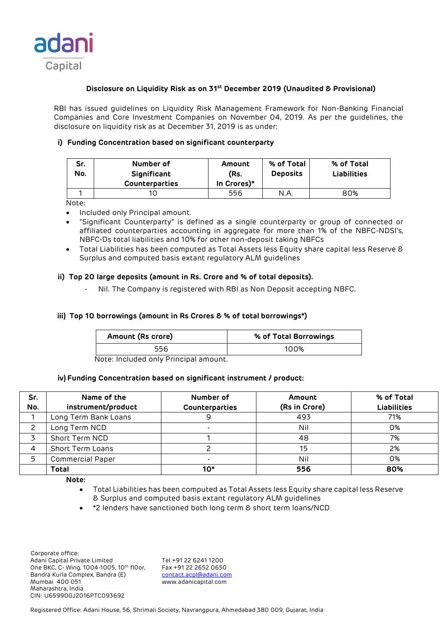

# **Disclosure on Liquidity Risk as on 31st December 2019 (Unaudited & Provisional)**

RBI has issued guidelines on Liquidity Risk Management Framework for Non-Banking Financial Companies and Core Investment Companies on November 04, 2019. As per the guidelines, the disclosure on liquidity risk as at December 31, 2019 is as under:

# **i) Funding Concentration based on significant counterparty**

| Sr.<br>No. | Number of<br>Significant<br><b>Counterparties</b> | Amount<br>(Rs.<br>In Crores)* | % of Total<br><b>Deposits</b> | % of Total<br><b>Liabilities</b> |
|------------|---------------------------------------------------|-------------------------------|-------------------------------|----------------------------------|
|            |                                                   | 556                           | N.A                           | 80%                              |

Note:

- Included only Principal amount.
- "Significant Counterparty" is defined as a single counterparty or group of connected or affiliated counterparties accounting in aggregate for more than 1% of the NBFC-NDSI's, NBFC-Ds total liabilities and 10% for other non-deposit taking NBFCs
- Total Liabilities has been computed as Total Assets less Equity share capital less Reserve & Surplus and computed basis extant regulatory ALM guidelines

## **ii) Top 20 large deposits (amount in Rs. Crore and % of total deposits).**

Nil. The Company is registered with RBI as Non Deposit accepting NBFC.

## **iii) Top 10 borrowings (amount in Rs Crores & % of total borrowings\*)**

| Amount (Rs crore) | % of Total Borrowings |
|-------------------|-----------------------|
| 556               | 100%                  |

Note: Included only Principal amount.

#### **iv) Funding Concentration based on significant instrument / product:**

| Sr.<br>No. | Name of the<br>instrument/product | Number of<br>Counterparties | Amount<br>(Rs in Crore) | % of Total<br><b>Liabilities</b> |
|------------|-----------------------------------|-----------------------------|-------------------------|----------------------------------|
|            | Long Term Bank Loans              | 9                           | 493                     | 71%                              |
|            | Long Term NCD                     |                             | Nil                     | 0%                               |
|            | Short Term NCD                    |                             | 48                      | 7%                               |
|            | <b>Short Term Loans</b>           |                             | 15                      | 2%                               |
| 5          | <b>Commercial Paper</b>           |                             | Nil                     | 0%                               |
|            | <b>Total</b>                      | $10*$                       | 556                     | 80%                              |

**Note:** 

- Total Liabilities has been computed as Total Assets less Equity share capital less Reserve & Surplus and computed basis extant regulatory ALM guidelines
- \*2 lenders have sanctioned both long term & short term loans/NCD

 Corporate office: Adani Capital Private Limited Tel +91 22 6241 1200<br>One BKC, C- Wing, 1004-1005, 10th flOor, Fax +91 22 2652 0650 One BKC, C- Wing, 1004-1005, 10th fl0or, Bandra Kurla Complex, Bandra (E) [contact.acpl@adani.com](mailto:contact.acpl@adani.com) Mumbai 400 051 www.adanicapital.com Maharashtra, India CIN: U65990GJ2016PTC093692